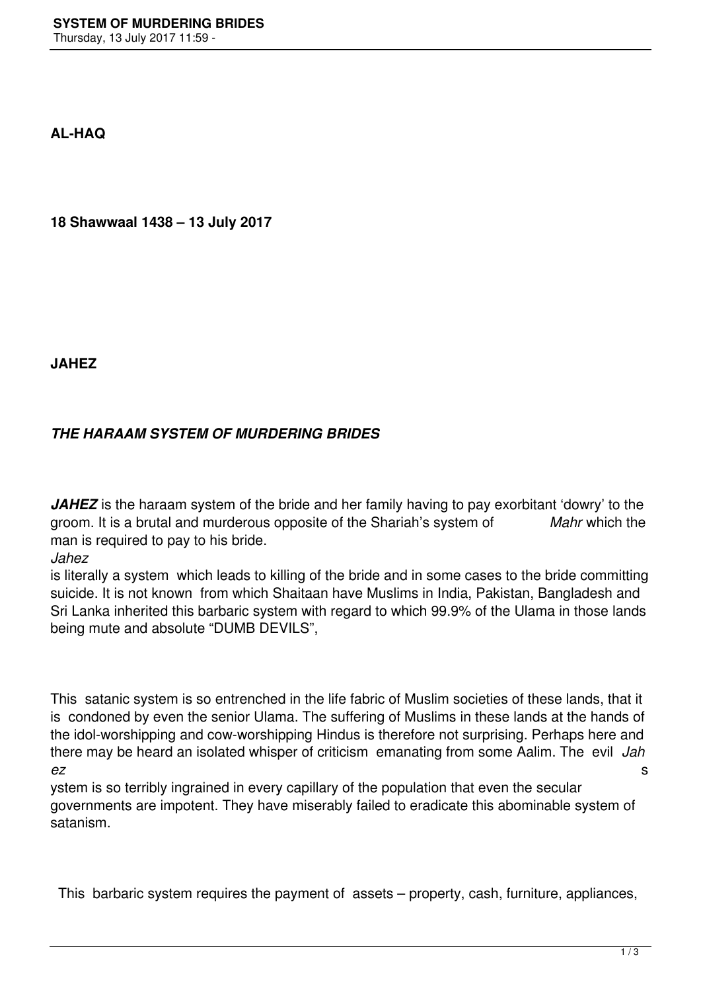**AL-HAQ**

**18 Shawwaal 1438 – 13 July 2017**

**JAHEZ**

## *THE HARAAM SYSTEM OF MURDERING BRIDES*

JAHEZ is the haraam system of the bride and her family having to pay exorbitant 'dowry' to the groom. It is a brutal and murderous opposite of the Shariah's system of *Mahr* which the man is required to pay to his bride.

*Jahez* 

is literally a system which leads to killing of the bride and in some cases to the bride committing suicide. It is not known from which Shaitaan have Muslims in India, Pakistan, Bangladesh and Sri Lanka inherited this barbaric system with regard to which 99.9% of the Ulama in those lands being mute and absolute "DUMB DEVILS",

This satanic system is so entrenched in the life fabric of Muslim societies of these lands, that it is condoned by even the senior Ulama. The suffering of Muslims in these lands at the hands of the idol-worshipping and cow-worshipping Hindus is therefore not surprising. Perhaps here and there may be heard an isolated whisper of criticism emanating from some Aalim. The evil *Jah ez* s

ystem is so terribly ingrained in every capillary of the population that even the secular governments are impotent. They have miserably failed to eradicate this abominable system of satanism.

This barbaric system requires the payment of assets – property, cash, furniture, appliances,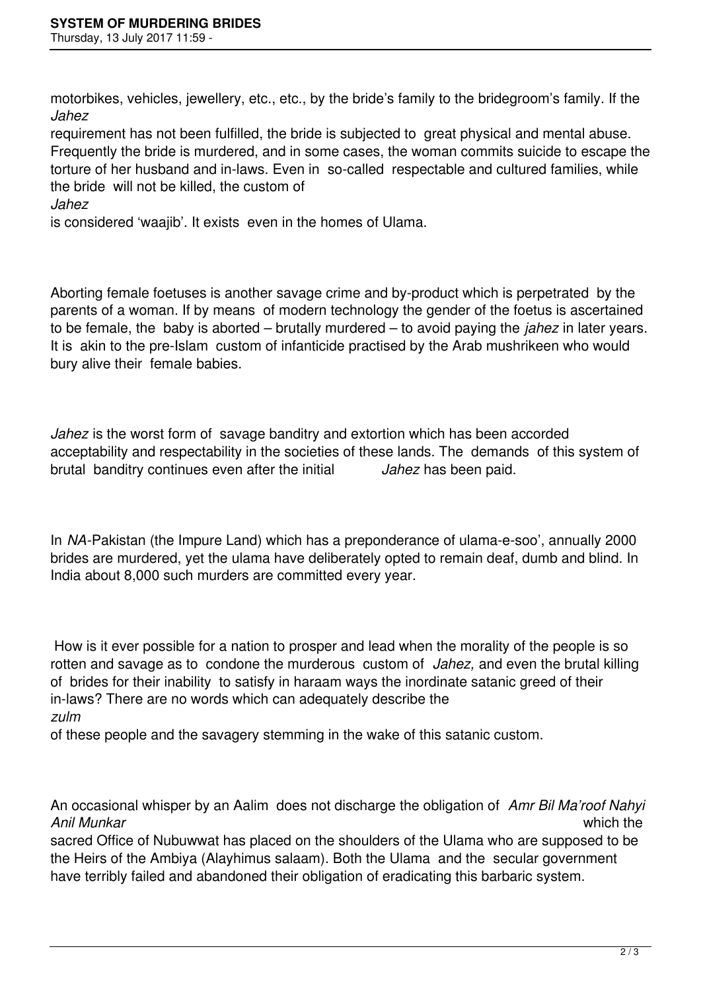motorbikes, vehicles, jewellery, etc., etc., by the bride's family to the bridegroom's family. If the *Jahez* 

requirement has not been fulfilled, the bride is subjected to great physical and mental abuse. Frequently the bride is murdered, and in some cases, the woman commits suicide to escape the torture of her husband and in-laws. Even in so-called respectable and cultured families, while the bride will not be killed, the custom of

*Jahez* 

is considered 'waajib'. It exists even in the homes of Ulama.

Aborting female foetuses is another savage crime and by-product which is perpetrated by the parents of a woman. If by means of modern technology the gender of the foetus is ascertained to be female, the baby is aborted – brutally murdered – to avoid paying the *jahez* in later years. It is akin to the pre-Islam custom of infanticide practised by the Arab mushrikeen who would bury alive their female babies.

Jahez is the worst form of savage banditry and extortion which has been accorded acceptability and respectability in the societies of these lands. The demands of this system of brutal banditry continues even after the initial *Jahez* has been paid.

In *NA-*Pakistan (the Impure Land) which has a preponderance of ulama-e-soo', annually 2000 brides are murdered, yet the ulama have deliberately opted to remain deaf, dumb and blind. In India about 8,000 such murders are committed every year.

How is it ever possible for a nation to prosper and lead when the morality of the people is so rotten and savage as to condone the murderous custom of *Jahez,* and even the brutal killing of brides for their inability to satisfy in haraam ways the inordinate satanic greed of their in-laws? There are no words which can adequately describe the *zulm*

of these people and the savagery stemming in the wake of this satanic custom.

An occasional whisper by an Aalim does not discharge the obligation of *Amr Bil Ma'roof Nahyi Anil Munkar* which the

sacred Office of Nubuwwat has placed on the shoulders of the Ulama who are supposed to be the Heirs of the Ambiya (Alayhimus salaam). Both the Ulama and the secular government have terribly failed and abandoned their obligation of eradicating this barbaric system.